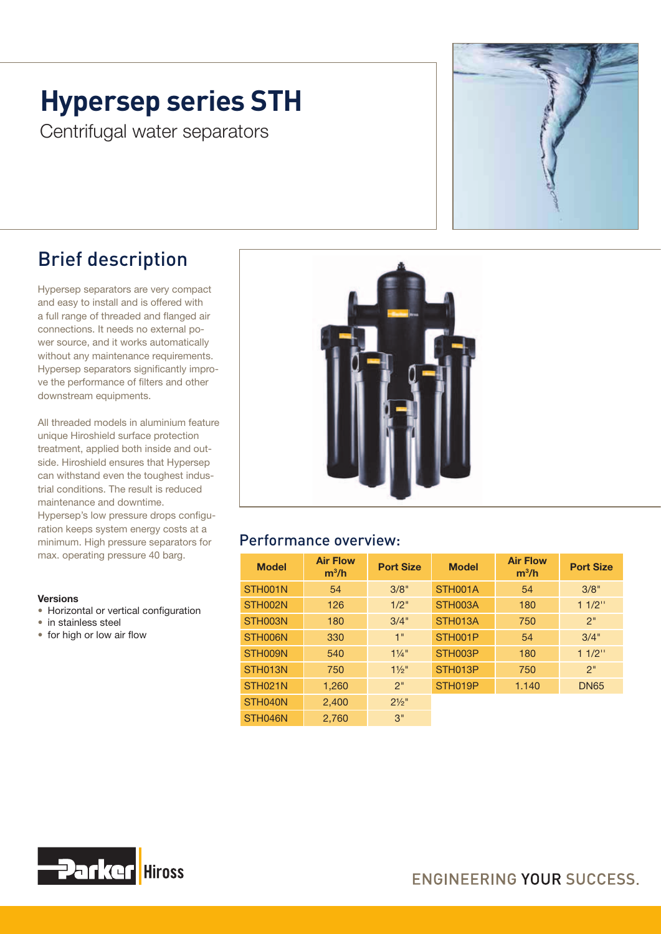## **Hypersep series STH**

Centrifugal water separators



### Brief description

Hypersep separators are very compact and easy to install and is offered with a full range of threaded and flanged air connections. It needs no external power source, and it works automatically without any maintenance requirements. Hypersep separators significantly improve the performance of filters and other downstream equipments.

All threaded models in aluminium feature unique Hiroshield surface protection treatment, applied both inside and outside. Hiroshield ensures that Hypersep can withstand even the toughest industrial conditions. The result is reduced maintenance and downtime.

Hypersep's low pressure drops configuration keeps system energy costs at a minimum. High pressure separators for max. operating pressure 40 barg.

#### Versions

- Horizontal or vertical configuration
- in stainless steel
- for high or low air flow



#### Performance overview:

| <b>Model</b>        | <b>Air Flow</b><br>$m^3/h$ | <b>Port Size</b> | <b>Model</b> | <b>Air Flow</b><br>$m^3/h$ | <b>Port Size</b> |  |
|---------------------|----------------------------|------------------|--------------|----------------------------|------------------|--|
| STH001N             | 54                         | 3/8"             | STH001A      | 54                         | 3/8"             |  |
| STH002N             | 126                        | 1/2"             | STH003A      | 180                        | $11/2$ "         |  |
| STH003N             | 180                        | 3/4"             | STH013A      | 750                        | 2"               |  |
| STH006N             | 330                        | 1"               | STH001P      | 54                         | 3/4"             |  |
| STH009N             | 540                        | $1\frac{1}{4}$ " | STH003P      | 180                        | $11/2$ "         |  |
| STH013N             | 750                        | $1\frac{1}{2}$ " | STH013P      | 750                        | 2"               |  |
| STH <sub>021N</sub> | 1,260                      | 2"               | STH019P      | 1.140                      | <b>DN65</b>      |  |
| STH040N             | 2,400                      | $2\frac{1}{2}$ " |              |                            |                  |  |
| STH046N             | 2,760                      | 3"               |              |                            |                  |  |